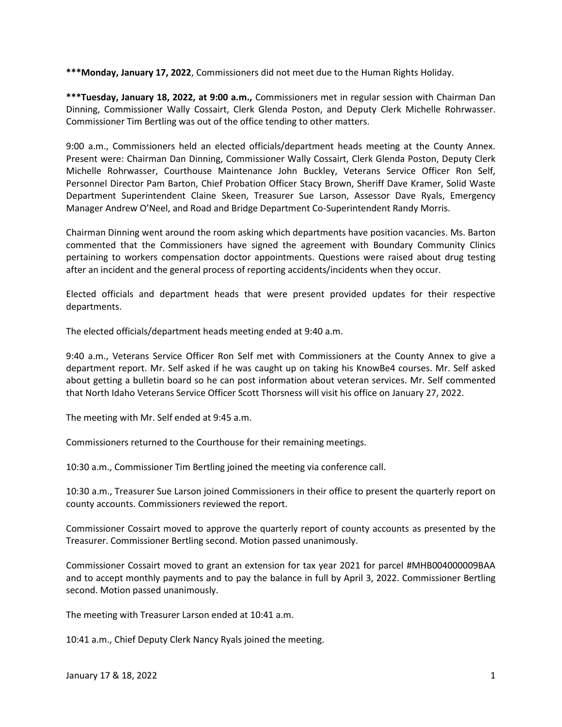**\*\*\*Monday, January 17, 2022**, Commissioners did not meet due to the Human Rights Holiday.

**\*\*\*Tuesday, January 18, 2022, at 9:00 a.m.,** Commissioners met in regular session with Chairman Dan Dinning, Commissioner Wally Cossairt, Clerk Glenda Poston, and Deputy Clerk Michelle Rohrwasser. Commissioner Tim Bertling was out of the office tending to other matters.

9:00 a.m., Commissioners held an elected officials/department heads meeting at the County Annex. Present were: Chairman Dan Dinning, Commissioner Wally Cossairt, Clerk Glenda Poston, Deputy Clerk Michelle Rohrwasser, Courthouse Maintenance John Buckley, Veterans Service Officer Ron Self, Personnel Director Pam Barton, Chief Probation Officer Stacy Brown, Sheriff Dave Kramer, Solid Waste Department Superintendent Claine Skeen, Treasurer Sue Larson, Assessor Dave Ryals, Emergency Manager Andrew O'Neel, and Road and Bridge Department Co-Superintendent Randy Morris.

Chairman Dinning went around the room asking which departments have position vacancies. Ms. Barton commented that the Commissioners have signed the agreement with Boundary Community Clinics pertaining to workers compensation doctor appointments. Questions were raised about drug testing after an incident and the general process of reporting accidents/incidents when they occur.

Elected officials and department heads that were present provided updates for their respective departments.

The elected officials/department heads meeting ended at 9:40 a.m.

9:40 a.m., Veterans Service Officer Ron Self met with Commissioners at the County Annex to give a department report. Mr. Self asked if he was caught up on taking his KnowBe4 courses. Mr. Self asked about getting a bulletin board so he can post information about veteran services. Mr. Self commented that North Idaho Veterans Service Officer Scott Thorsness will visit his office on January 27, 2022.

The meeting with Mr. Self ended at 9:45 a.m.

Commissioners returned to the Courthouse for their remaining meetings.

10:30 a.m., Commissioner Tim Bertling joined the meeting via conference call.

10:30 a.m., Treasurer Sue Larson joined Commissioners in their office to present the quarterly report on county accounts. Commissioners reviewed the report.

Commissioner Cossairt moved to approve the quarterly report of county accounts as presented by the Treasurer. Commissioner Bertling second. Motion passed unanimously.

Commissioner Cossairt moved to grant an extension for tax year 2021 for parcel #MHB004000009BAA and to accept monthly payments and to pay the balance in full by April 3, 2022. Commissioner Bertling second. Motion passed unanimously.

The meeting with Treasurer Larson ended at 10:41 a.m.

10:41 a.m., Chief Deputy Clerk Nancy Ryals joined the meeting.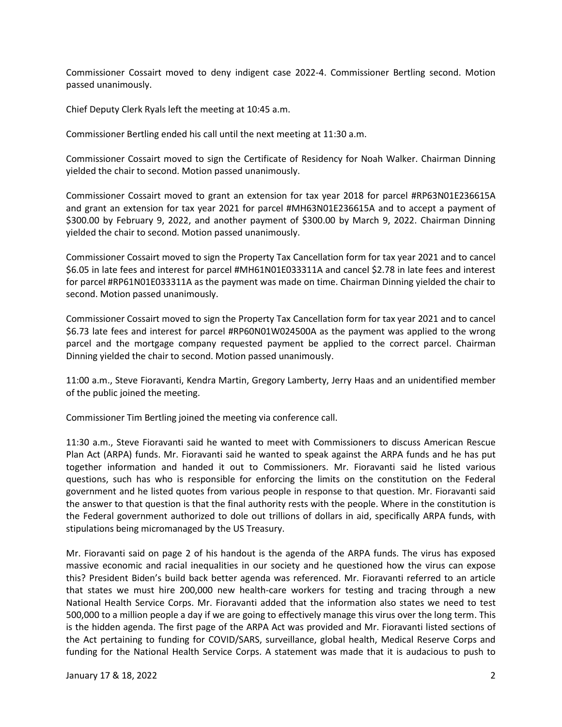Commissioner Cossairt moved to deny indigent case 2022-4. Commissioner Bertling second. Motion passed unanimously.

Chief Deputy Clerk Ryals left the meeting at 10:45 a.m.

Commissioner Bertling ended his call until the next meeting at 11:30 a.m.

Commissioner Cossairt moved to sign the Certificate of Residency for Noah Walker. Chairman Dinning yielded the chair to second. Motion passed unanimously.

Commissioner Cossairt moved to grant an extension for tax year 2018 for parcel #RP63N01E236615A and grant an extension for tax year 2021 for parcel #MH63N01E236615A and to accept a payment of \$300.00 by February 9, 2022, and another payment of \$300.00 by March 9, 2022. Chairman Dinning yielded the chair to second. Motion passed unanimously.

Commissioner Cossairt moved to sign the Property Tax Cancellation form for tax year 2021 and to cancel \$6.05 in late fees and interest for parcel #MH61N01E033311A and cancel \$2.78 in late fees and interest for parcel #RP61N01E033311A as the payment was made on time. Chairman Dinning yielded the chair to second. Motion passed unanimously.

Commissioner Cossairt moved to sign the Property Tax Cancellation form for tax year 2021 and to cancel \$6.73 late fees and interest for parcel #RP60N01W024500A as the payment was applied to the wrong parcel and the mortgage company requested payment be applied to the correct parcel. Chairman Dinning yielded the chair to second. Motion passed unanimously.

11:00 a.m., Steve Fioravanti, Kendra Martin, Gregory Lamberty, Jerry Haas and an unidentified member of the public joined the meeting.

Commissioner Tim Bertling joined the meeting via conference call.

11:30 a.m., Steve Fioravanti said he wanted to meet with Commissioners to discuss American Rescue Plan Act (ARPA) funds. Mr. Fioravanti said he wanted to speak against the ARPA funds and he has put together information and handed it out to Commissioners. Mr. Fioravanti said he listed various questions, such has who is responsible for enforcing the limits on the constitution on the Federal government and he listed quotes from various people in response to that question. Mr. Fioravanti said the answer to that question is that the final authority rests with the people. Where in the constitution is the Federal government authorized to dole out trillions of dollars in aid, specifically ARPA funds, with stipulations being micromanaged by the US Treasury.

Mr. Fioravanti said on page 2 of his handout is the agenda of the ARPA funds. The virus has exposed massive economic and racial inequalities in our society and he questioned how the virus can expose this? President Biden's build back better agenda was referenced. Mr. Fioravanti referred to an article that states we must hire 200,000 new health-care workers for testing and tracing through a new National Health Service Corps. Mr. Fioravanti added that the information also states we need to test 500,000 to a million people a day if we are going to effectively manage this virus over the long term. This is the hidden agenda. The first page of the ARPA Act was provided and Mr. Fioravanti listed sections of the Act pertaining to funding for COVID/SARS, surveillance, global health, Medical Reserve Corps and funding for the National Health Service Corps. A statement was made that it is audacious to push to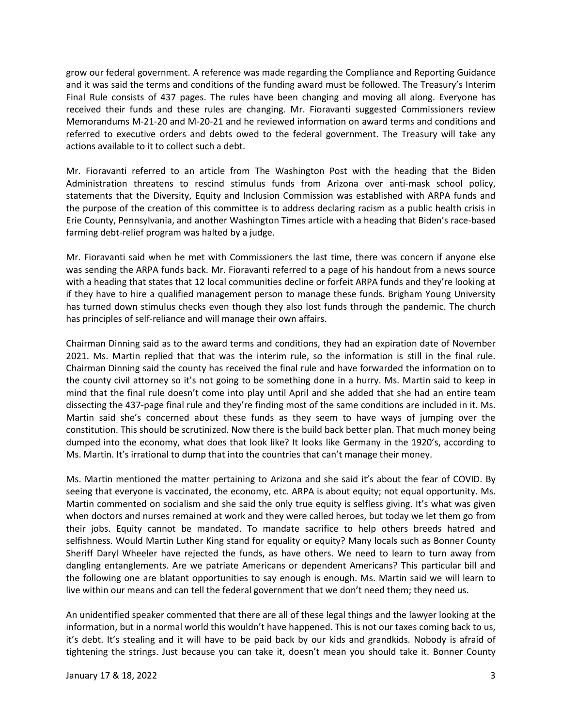grow our federal government. A reference was made regarding the Compliance and Reporting Guidance and it was said the terms and conditions of the funding award must be followed. The Treasury's Interim Final Rule consists of 437 pages. The rules have been changing and moving all along. Everyone has received their funds and these rules are changing. Mr. Fioravanti suggested Commissioners review Memorandums M-21-20 and M-20-21 and he reviewed information on award terms and conditions and referred to executive orders and debts owed to the federal government. The Treasury will take any actions available to it to collect such a debt.

Mr. Fioravanti referred to an article from The Washington Post with the heading that the Biden Administration threatens to rescind stimulus funds from Arizona over anti-mask school policy, statements that the Diversity, Equity and Inclusion Commission was established with ARPA funds and the purpose of the creation of this committee is to address declaring racism as a public health crisis in Erie County, Pennsylvania, and another Washington Times article with a heading that Biden's race-based farming debt-relief program was halted by a judge.

Mr. Fioravanti said when he met with Commissioners the last time, there was concern if anyone else was sending the ARPA funds back. Mr. Fioravanti referred to a page of his handout from a news source with a heading that states that 12 local communities decline or forfeit ARPA funds and they're looking at if they have to hire a qualified management person to manage these funds. Brigham Young University has turned down stimulus checks even though they also lost funds through the pandemic. The church has principles of self-reliance and will manage their own affairs.

Chairman Dinning said as to the award terms and conditions, they had an expiration date of November 2021. Ms. Martin replied that that was the interim rule, so the information is still in the final rule. Chairman Dinning said the county has received the final rule and have forwarded the information on to the county civil attorney so it's not going to be something done in a hurry. Ms. Martin said to keep in mind that the final rule doesn't come into play until April and she added that she had an entire team dissecting the 437-page final rule and they're finding most of the same conditions are included in it. Ms. Martin said she's concerned about these funds as they seem to have ways of jumping over the constitution. This should be scrutinized. Now there is the build back better plan. That much money being dumped into the economy, what does that look like? It looks like Germany in the 1920's, according to Ms. Martin. It's irrational to dump that into the countries that can't manage their money.

Ms. Martin mentioned the matter pertaining to Arizona and she said it's about the fear of COVID. By seeing that everyone is vaccinated, the economy, etc. ARPA is about equity; not equal opportunity. Ms. Martin commented on socialism and she said the only true equity is selfless giving. It's what was given when doctors and nurses remained at work and they were called heroes, but today we let them go from their jobs. Equity cannot be mandated. To mandate sacrifice to help others breeds hatred and selfishness. Would Martin Luther King stand for equality or equity? Many locals such as Bonner County Sheriff Daryl Wheeler have rejected the funds, as have others. We need to learn to turn away from dangling entanglements. Are we patriate Americans or dependent Americans? This particular bill and the following one are blatant opportunities to say enough is enough. Ms. Martin said we will learn to live within our means and can tell the federal government that we don't need them; they need us.

An unidentified speaker commented that there are all of these legal things and the lawyer looking at the information, but in a normal world this wouldn't have happened. This is not our taxes coming back to us, it's debt. It's stealing and it will have to be paid back by our kids and grandkids. Nobody is afraid of tightening the strings. Just because you can take it, doesn't mean you should take it. Bonner County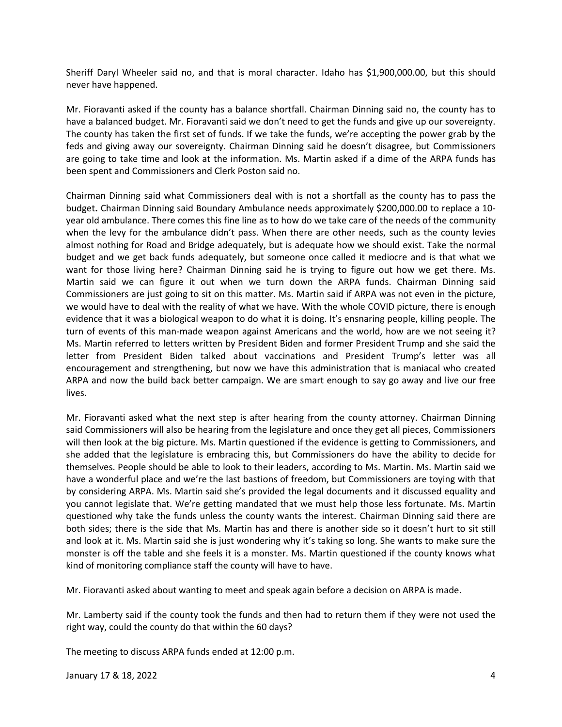Sheriff Daryl Wheeler said no, and that is moral character. Idaho has \$1,900,000.00, but this should never have happened.

Mr. Fioravanti asked if the county has a balance shortfall. Chairman Dinning said no, the county has to have a balanced budget. Mr. Fioravanti said we don't need to get the funds and give up our sovereignty. The county has taken the first set of funds. If we take the funds, we're accepting the power grab by the feds and giving away our sovereignty. Chairman Dinning said he doesn't disagree, but Commissioners are going to take time and look at the information. Ms. Martin asked if a dime of the ARPA funds has been spent and Commissioners and Clerk Poston said no.

Chairman Dinning said what Commissioners deal with is not a shortfall as the county has to pass the budget**.** Chairman Dinning said Boundary Ambulance needs approximately \$200,000.00 to replace a 10 year old ambulance. There comes this fine line as to how do we take care of the needs of the community when the levy for the ambulance didn't pass. When there are other needs, such as the county levies almost nothing for Road and Bridge adequately, but is adequate how we should exist. Take the normal budget and we get back funds adequately, but someone once called it mediocre and is that what we want for those living here? Chairman Dinning said he is trying to figure out how we get there. Ms. Martin said we can figure it out when we turn down the ARPA funds. Chairman Dinning said Commissioners are just going to sit on this matter. Ms. Martin said if ARPA was not even in the picture, we would have to deal with the reality of what we have. With the whole COVID picture, there is enough evidence that it was a biological weapon to do what it is doing. It's ensnaring people, killing people. The turn of events of this man-made weapon against Americans and the world, how are we not seeing it? Ms. Martin referred to letters written by President Biden and former President Trump and she said the letter from President Biden talked about vaccinations and President Trump's letter was all encouragement and strengthening, but now we have this administration that is maniacal who created ARPA and now the build back better campaign. We are smart enough to say go away and live our free lives.

Mr. Fioravanti asked what the next step is after hearing from the county attorney. Chairman Dinning said Commissioners will also be hearing from the legislature and once they get all pieces, Commissioners will then look at the big picture. Ms. Martin questioned if the evidence is getting to Commissioners, and she added that the legislature is embracing this, but Commissioners do have the ability to decide for themselves. People should be able to look to their leaders, according to Ms. Martin. Ms. Martin said we have a wonderful place and we're the last bastions of freedom, but Commissioners are toying with that by considering ARPA. Ms. Martin said she's provided the legal documents and it discussed equality and you cannot legislate that. We're getting mandated that we must help those less fortunate. Ms. Martin questioned why take the funds unless the county wants the interest. Chairman Dinning said there are both sides; there is the side that Ms. Martin has and there is another side so it doesn't hurt to sit still and look at it. Ms. Martin said she is just wondering why it's taking so long. She wants to make sure the monster is off the table and she feels it is a monster. Ms. Martin questioned if the county knows what kind of monitoring compliance staff the county will have to have.

Mr. Fioravanti asked about wanting to meet and speak again before a decision on ARPA is made.

Mr. Lamberty said if the county took the funds and then had to return them if they were not used the right way, could the county do that within the 60 days?

The meeting to discuss ARPA funds ended at 12:00 p.m.

January 17 & 18, 2022 4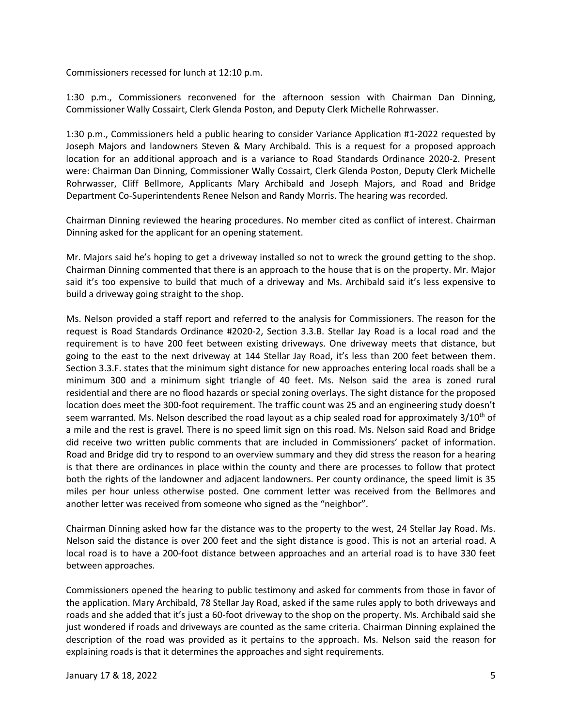Commissioners recessed for lunch at 12:10 p.m.

1:30 p.m., Commissioners reconvened for the afternoon session with Chairman Dan Dinning, Commissioner Wally Cossairt, Clerk Glenda Poston, and Deputy Clerk Michelle Rohrwasser.

1:30 p.m., Commissioners held a public hearing to consider Variance Application #1-2022 requested by Joseph Majors and landowners Steven & Mary Archibald. This is a request for a proposed approach location for an additional approach and is a variance to Road Standards Ordinance 2020-2. Present were: Chairman Dan Dinning, Commissioner Wally Cossairt, Clerk Glenda Poston, Deputy Clerk Michelle Rohrwasser, Cliff Bellmore, Applicants Mary Archibald and Joseph Majors, and Road and Bridge Department Co-Superintendents Renee Nelson and Randy Morris. The hearing was recorded.

Chairman Dinning reviewed the hearing procedures. No member cited as conflict of interest. Chairman Dinning asked for the applicant for an opening statement.

Mr. Majors said he's hoping to get a driveway installed so not to wreck the ground getting to the shop. Chairman Dinning commented that there is an approach to the house that is on the property. Mr. Major said it's too expensive to build that much of a driveway and Ms. Archibald said it's less expensive to build a driveway going straight to the shop.

Ms. Nelson provided a staff report and referred to the analysis for Commissioners. The reason for the request is Road Standards Ordinance #2020-2, Section 3.3.B. Stellar Jay Road is a local road and the requirement is to have 200 feet between existing driveways. One driveway meets that distance, but going to the east to the next driveway at 144 Stellar Jay Road, it's less than 200 feet between them. Section 3.3.F. states that the minimum sight distance for new approaches entering local roads shall be a minimum 300 and a minimum sight triangle of 40 feet. Ms. Nelson said the area is zoned rural residential and there are no flood hazards or special zoning overlays. The sight distance for the proposed location does meet the 300-foot requirement. The traffic count was 25 and an engineering study doesn't seem warranted. Ms. Nelson described the road layout as a chip sealed road for approximately  $3/10^{th}$  of a mile and the rest is gravel. There is no speed limit sign on this road. Ms. Nelson said Road and Bridge did receive two written public comments that are included in Commissioners' packet of information. Road and Bridge did try to respond to an overview summary and they did stress the reason for a hearing is that there are ordinances in place within the county and there are processes to follow that protect both the rights of the landowner and adjacent landowners. Per county ordinance, the speed limit is 35 miles per hour unless otherwise posted. One comment letter was received from the Bellmores and another letter was received from someone who signed as the "neighbor".

Chairman Dinning asked how far the distance was to the property to the west, 24 Stellar Jay Road. Ms. Nelson said the distance is over 200 feet and the sight distance is good. This is not an arterial road. A local road is to have a 200-foot distance between approaches and an arterial road is to have 330 feet between approaches.

Commissioners opened the hearing to public testimony and asked for comments from those in favor of the application. Mary Archibald, 78 Stellar Jay Road, asked if the same rules apply to both driveways and roads and she added that it's just a 60-foot driveway to the shop on the property. Ms. Archibald said she just wondered if roads and driveways are counted as the same criteria. Chairman Dinning explained the description of the road was provided as it pertains to the approach. Ms. Nelson said the reason for explaining roads is that it determines the approaches and sight requirements.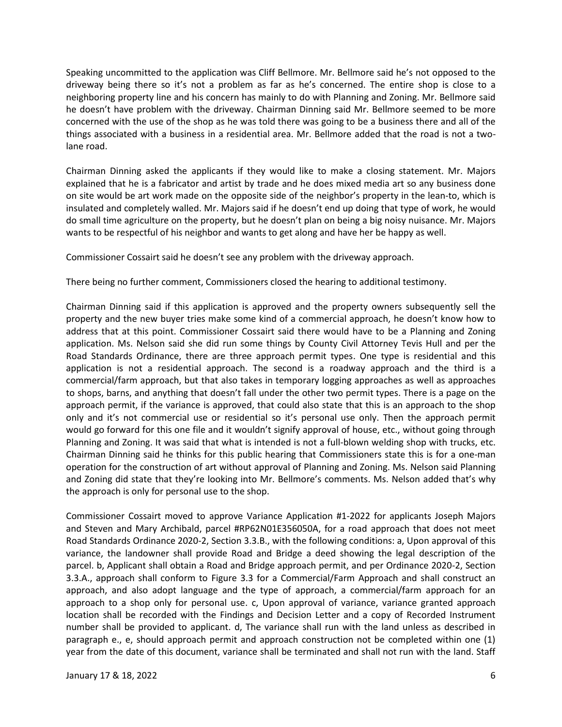Speaking uncommitted to the application was Cliff Bellmore. Mr. Bellmore said he's not opposed to the driveway being there so it's not a problem as far as he's concerned. The entire shop is close to a neighboring property line and his concern has mainly to do with Planning and Zoning. Mr. Bellmore said he doesn't have problem with the driveway. Chairman Dinning said Mr. Bellmore seemed to be more concerned with the use of the shop as he was told there was going to be a business there and all of the things associated with a business in a residential area. Mr. Bellmore added that the road is not a twolane road.

Chairman Dinning asked the applicants if they would like to make a closing statement. Mr. Majors explained that he is a fabricator and artist by trade and he does mixed media art so any business done on site would be art work made on the opposite side of the neighbor's property in the lean-to, which is insulated and completely walled. Mr. Majors said if he doesn't end up doing that type of work, he would do small time agriculture on the property, but he doesn't plan on being a big noisy nuisance. Mr. Majors wants to be respectful of his neighbor and wants to get along and have her be happy as well.

Commissioner Cossairt said he doesn't see any problem with the driveway approach.

There being no further comment, Commissioners closed the hearing to additional testimony.

Chairman Dinning said if this application is approved and the property owners subsequently sell the property and the new buyer tries make some kind of a commercial approach, he doesn't know how to address that at this point. Commissioner Cossairt said there would have to be a Planning and Zoning application. Ms. Nelson said she did run some things by County Civil Attorney Tevis Hull and per the Road Standards Ordinance, there are three approach permit types. One type is residential and this application is not a residential approach. The second is a roadway approach and the third is a commercial/farm approach, but that also takes in temporary logging approaches as well as approaches to shops, barns, and anything that doesn't fall under the other two permit types. There is a page on the approach permit, if the variance is approved, that could also state that this is an approach to the shop only and it's not commercial use or residential so it's personal use only. Then the approach permit would go forward for this one file and it wouldn't signify approval of house, etc., without going through Planning and Zoning. It was said that what is intended is not a full-blown welding shop with trucks, etc. Chairman Dinning said he thinks for this public hearing that Commissioners state this is for a one-man operation for the construction of art without approval of Planning and Zoning. Ms. Nelson said Planning and Zoning did state that they're looking into Mr. Bellmore's comments. Ms. Nelson added that's why the approach is only for personal use to the shop.

Commissioner Cossairt moved to approve Variance Application #1-2022 for applicants Joseph Majors and Steven and Mary Archibald, parcel #RP62N01E356050A, for a road approach that does not meet Road Standards Ordinance 2020-2, Section 3.3.B., with the following conditions: a, Upon approval of this variance, the landowner shall provide Road and Bridge a deed showing the legal description of the parcel. b, Applicant shall obtain a Road and Bridge approach permit, and per Ordinance 2020-2, Section 3.3.A., approach shall conform to Figure 3.3 for a Commercial/Farm Approach and shall construct an approach, and also adopt language and the type of approach, a commercial/farm approach for an approach to a shop only for personal use. c, Upon approval of variance, variance granted approach location shall be recorded with the Findings and Decision Letter and a copy of Recorded Instrument number shall be provided to applicant. d, The variance shall run with the land unless as described in paragraph e., e, should approach permit and approach construction not be completed within one (1) year from the date of this document, variance shall be terminated and shall not run with the land. Staff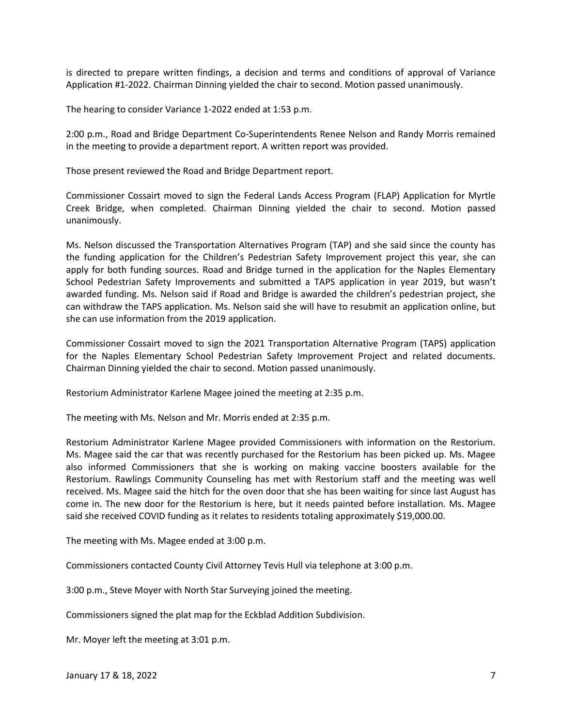is directed to prepare written findings, a decision and terms and conditions of approval of Variance Application #1-2022. Chairman Dinning yielded the chair to second. Motion passed unanimously.

The hearing to consider Variance 1-2022 ended at 1:53 p.m.

2:00 p.m., Road and Bridge Department Co-Superintendents Renee Nelson and Randy Morris remained in the meeting to provide a department report. A written report was provided.

Those present reviewed the Road and Bridge Department report.

Commissioner Cossairt moved to sign the Federal Lands Access Program (FLAP) Application for Myrtle Creek Bridge, when completed. Chairman Dinning yielded the chair to second. Motion passed unanimously.

Ms. Nelson discussed the Transportation Alternatives Program (TAP) and she said since the county has the funding application for the Children's Pedestrian Safety Improvement project this year, she can apply for both funding sources. Road and Bridge turned in the application for the Naples Elementary School Pedestrian Safety Improvements and submitted a TAPS application in year 2019, but wasn't awarded funding. Ms. Nelson said if Road and Bridge is awarded the children's pedestrian project, she can withdraw the TAPS application. Ms. Nelson said she will have to resubmit an application online, but she can use information from the 2019 application.

Commissioner Cossairt moved to sign the 2021 Transportation Alternative Program (TAPS) application for the Naples Elementary School Pedestrian Safety Improvement Project and related documents. Chairman Dinning yielded the chair to second. Motion passed unanimously.

Restorium Administrator Karlene Magee joined the meeting at 2:35 p.m.

The meeting with Ms. Nelson and Mr. Morris ended at 2:35 p.m.

Restorium Administrator Karlene Magee provided Commissioners with information on the Restorium. Ms. Magee said the car that was recently purchased for the Restorium has been picked up. Ms. Magee also informed Commissioners that she is working on making vaccine boosters available for the Restorium. Rawlings Community Counseling has met with Restorium staff and the meeting was well received. Ms. Magee said the hitch for the oven door that she has been waiting for since last August has come in. The new door for the Restorium is here, but it needs painted before installation. Ms. Magee said she received COVID funding as it relates to residents totaling approximately \$19,000.00.

The meeting with Ms. Magee ended at 3:00 p.m.

Commissioners contacted County Civil Attorney Tevis Hull via telephone at 3:00 p.m.

3:00 p.m., Steve Moyer with North Star Surveying joined the meeting.

Commissioners signed the plat map for the Eckblad Addition Subdivision.

Mr. Moyer left the meeting at 3:01 p.m.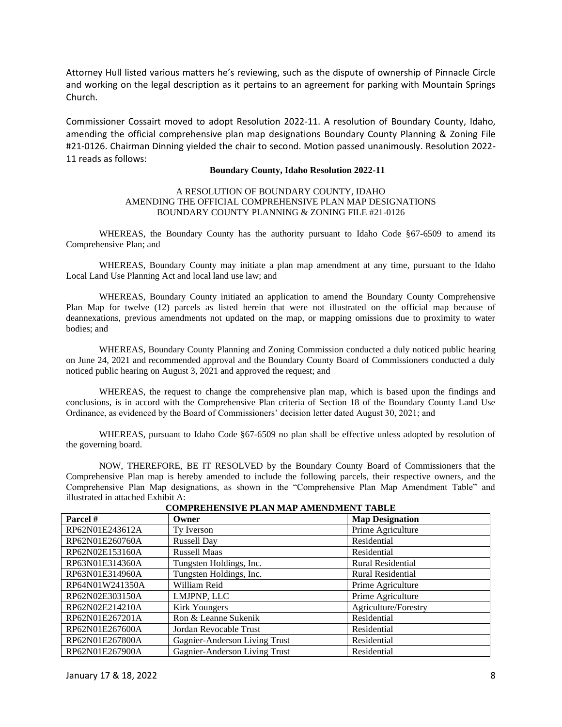Attorney Hull listed various matters he's reviewing, such as the dispute of ownership of Pinnacle Circle and working on the legal description as it pertains to an agreement for parking with Mountain Springs Church.

Commissioner Cossairt moved to adopt Resolution 2022-11. A resolution of Boundary County, Idaho, amending the official comprehensive plan map designations Boundary County Planning & Zoning File #21-0126. Chairman Dinning yielded the chair to second. Motion passed unanimously. Resolution 2022- 11 reads as follows:

### **Boundary County, Idaho Resolution 2022-11**

# A RESOLUTION OF BOUNDARY COUNTY, IDAHO AMENDING THE OFFICIAL COMPREHENSIVE PLAN MAP DESIGNATIONS BOUNDARY COUNTY PLANNING & ZONING FILE #21-0126

WHEREAS, the Boundary County has the authority pursuant to Idaho Code §67-6509 to amend its Comprehensive Plan; and

WHEREAS, Boundary County may initiate a plan map amendment at any time, pursuant to the Idaho Local Land Use Planning Act and local land use law; and

WHEREAS, Boundary County initiated an application to amend the Boundary County Comprehensive Plan Map for twelve (12) parcels as listed herein that were not illustrated on the official map because of deannexations, previous amendments not updated on the map, or mapping omissions due to proximity to water bodies; and

WHEREAS, Boundary County Planning and Zoning Commission conducted a duly noticed public hearing on June 24, 2021 and recommended approval and the Boundary County Board of Commissioners conducted a duly noticed public hearing on August 3, 2021 and approved the request; and

WHEREAS, the request to change the comprehensive plan map, which is based upon the findings and conclusions, is in accord with the Comprehensive Plan criteria of Section 18 of the Boundary County Land Use Ordinance, as evidenced by the Board of Commissioners' decision letter dated August 30, 2021; and

WHEREAS, pursuant to Idaho Code §67-6509 no plan shall be effective unless adopted by resolution of the governing board.

NOW, THEREFORE, BE IT RESOLVED by the Boundary County Board of Commissioners that the Comprehensive Plan map is hereby amended to include the following parcels, their respective owners, and the Comprehensive Plan Map designations, as shown in the "Comprehensive Plan Map Amendment Table" and illustrated in attached Exhibit A:

| Parcel #        | COMF REHENSIVE FLAN MAF AMENDMENT TABLE<br>Owner | <b>Map Designation</b>   |
|-----------------|--------------------------------------------------|--------------------------|
|                 |                                                  |                          |
| RP62N01E243612A | Ty Iverson                                       | Prime Agriculture        |
| RP62N01E260760A | <b>Russell Day</b>                               | Residential              |
| RP62N02E153160A | <b>Russell Maas</b>                              | Residential              |
| RP63N01E314360A | Tungsten Holdings, Inc.                          | <b>Rural Residential</b> |
| RP63N01E314960A | Tungsten Holdings, Inc.                          | <b>Rural Residential</b> |
| RP64N01W241350A | William Reid                                     | Prime Agriculture        |
| RP62N02E303150A | LMJPNP, LLC                                      | Prime Agriculture        |
| RP62N02E214210A | Kirk Youngers                                    | Agriculture/Forestry     |
| RP62N01E267201A | Ron & Leanne Sukenik                             | Residential              |
| RP62N01E267600A | Jordan Revocable Trust                           | Residential              |
| RP62N01E267800A | Gagnier-Anderson Living Trust                    | Residential              |
| RP62N01E267900A | Gagnier-Anderson Living Trust                    | Residential              |

**COMPREHENSIVE PLAN MAP AMENDMENT TABLE**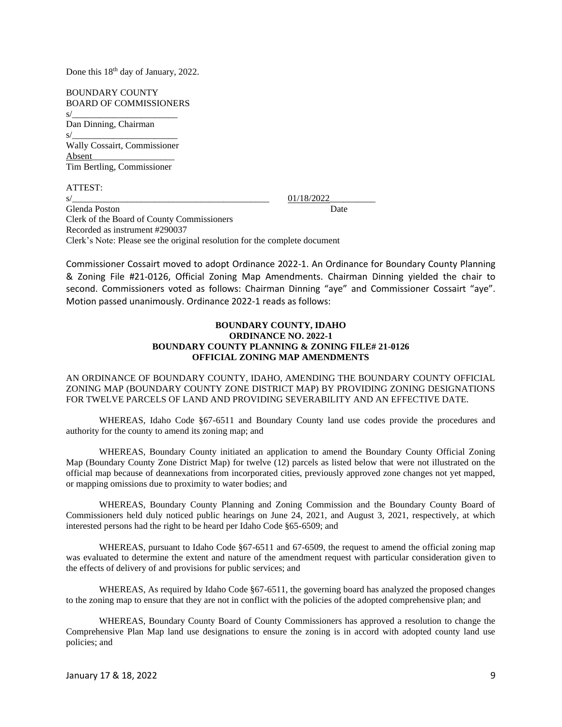Done this 18<sup>th</sup> day of January, 2022.

BOUNDARY COUNTY BOARD OF COMMISSIONERS s/\_\_\_\_\_\_\_\_\_\_\_\_\_\_\_\_\_\_\_\_\_\_\_ Dan Dinning, Chairman s/\_\_\_\_\_\_\_\_\_\_\_\_\_\_\_\_\_\_\_\_\_\_\_ Wally Cossairt, Commissioner Absent\_\_\_\_\_\_\_\_\_\_\_\_\_\_\_\_\_\_ Tim Bertling, Commissioner

ATTEST:

 $s/$  01/18/2022

Glenda Poston Date Clerk of the Board of County Commissioners Recorded as instrument #290037 Clerk's Note: Please see the original resolution for the complete document

Commissioner Cossairt moved to adopt Ordinance 2022-1. An Ordinance for Boundary County Planning & Zoning File #21-0126, Official Zoning Map Amendments. Chairman Dinning yielded the chair to second. Commissioners voted as follows: Chairman Dinning "aye" and Commissioner Cossairt "aye". Motion passed unanimously. Ordinance 2022-1 reads as follows:

# **BOUNDARY COUNTY, IDAHO ORDINANCE NO. 2022-1 BOUNDARY COUNTY PLANNING & ZONING FILE# 21-0126 OFFICIAL ZONING MAP AMENDMENTS**

## AN ORDINANCE OF BOUNDARY COUNTY, IDAHO, AMENDING THE BOUNDARY COUNTY OFFICIAL ZONING MAP (BOUNDARY COUNTY ZONE DISTRICT MAP) BY PROVIDING ZONING DESIGNATIONS FOR TWELVE PARCELS OF LAND AND PROVIDING SEVERABILITY AND AN EFFECTIVE DATE.

WHEREAS, Idaho Code §67-6511 and Boundary County land use codes provide the procedures and authority for the county to amend its zoning map; and

WHEREAS, Boundary County initiated an application to amend the Boundary County Official Zoning Map (Boundary County Zone District Map) for twelve (12) parcels as listed below that were not illustrated on the official map because of deannexations from incorporated cities, previously approved zone changes not yet mapped, or mapping omissions due to proximity to water bodies; and

WHEREAS, Boundary County Planning and Zoning Commission and the Boundary County Board of Commissioners held duly noticed public hearings on June 24, 2021, and August 3, 2021, respectively, at which interested persons had the right to be heard per Idaho Code §65-6509; and

WHEREAS, pursuant to Idaho Code §67-6511 and 67-6509, the request to amend the official zoning map was evaluated to determine the extent and nature of the amendment request with particular consideration given to the effects of delivery of and provisions for public services; and

WHEREAS, As required by Idaho Code §67-6511, the governing board has analyzed the proposed changes to the zoning map to ensure that they are not in conflict with the policies of the adopted comprehensive plan; and

WHEREAS, Boundary County Board of County Commissioners has approved a resolution to change the Comprehensive Plan Map land use designations to ensure the zoning is in accord with adopted county land use policies; and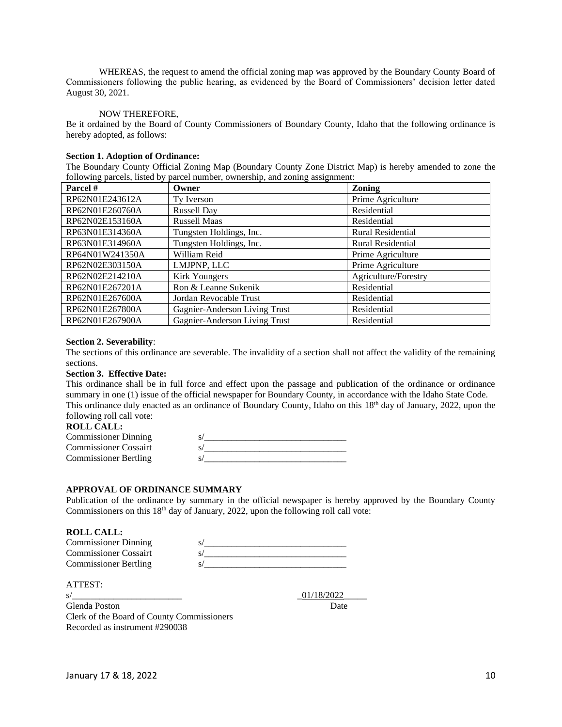WHEREAS, the request to amend the official zoning map was approved by the Boundary County Board of Commissioners following the public hearing, as evidenced by the Board of Commissioners' decision letter dated August 30, 2021.

# NOW THEREFORE,

Be it ordained by the Board of County Commissioners of Boundary County, Idaho that the following ordinance is hereby adopted, as follows:

## **Section 1. Adoption of Ordinance:**

The Boundary County Official Zoning Map (Boundary County Zone District Map) is hereby amended to zone the following parcels, listed by parcel number, ownership, and zoning assignment:

| Parcel #        | Owner                                | Zoning                   |
|-----------------|--------------------------------------|--------------------------|
| RP62N01E243612A | Ty Iverson                           | Prime Agriculture        |
| RP62N01E260760A | <b>Russell Day</b>                   | Residential              |
| RP62N02E153160A | <b>Russell Maas</b>                  | Residential              |
| RP63N01E314360A | Tungsten Holdings, Inc.              | <b>Rural Residential</b> |
| RP63N01E314960A | Tungsten Holdings, Inc.              | <b>Rural Residential</b> |
| RP64N01W241350A | William Reid                         | Prime Agriculture        |
| RP62N02E303150A | LMJPNP, LLC                          | Prime Agriculture        |
| RP62N02E214210A | Kirk Youngers                        | Agriculture/Forestry     |
| RP62N01E267201A | Ron & Leanne Sukenik                 | Residential              |
| RP62N01E267600A | Jordan Revocable Trust               | Residential              |
| RP62N01E267800A | Gagnier-Anderson Living Trust        | Residential              |
| RP62N01E267900A | <b>Gagnier-Anderson Living Trust</b> | Residential              |

## **Section 2. Severability**:

The sections of this ordinance are severable. The invalidity of a section shall not affect the validity of the remaining sections.

# **Section 3. Effective Date:**

This ordinance shall be in full force and effect upon the passage and publication of the ordinance or ordinance summary in one (1) issue of the official newspaper for Boundary County, in accordance with the Idaho State Code. This ordinance duly enacted as an ordinance of Boundary County, Idaho on this 18<sup>th</sup> day of January, 2022, upon the following roll call vote:

## **ROLL CALL:**

| <b>Commissioner Dinning</b>  |  |
|------------------------------|--|
| <b>Commissioner Cossairt</b> |  |
| <b>Commissioner Bertling</b> |  |

# **APPROVAL OF ORDINANCE SUMMARY**

Publication of the ordinance by summary in the official newspaper is hereby approved by the Boundary County Commissioners on this  $18<sup>th</sup>$  day of January, 2022, upon the following roll call vote:

### **ROLL CALL:**

Commissioner Dinning Commissioner Cossairt Commissioner Bertling

ATTEST:

|  | v | ۹ |  |
|--|---|---|--|

Glenda Poston Date Clerk of the Board of County Commissioners Recorded as instrument #290038

s/\_\_\_\_\_\_\_\_\_\_\_\_\_\_\_\_\_\_\_\_\_\_\_\_ \_01/18/2022\_\_\_\_\_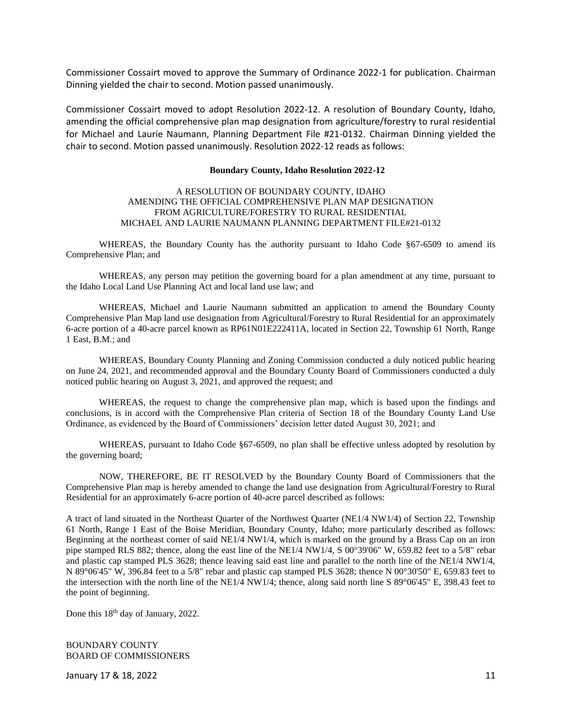Commissioner Cossairt moved to approve the Summary of Ordinance 2022-1 for publication. Chairman Dinning yielded the chair to second. Motion passed unanimously.

Commissioner Cossairt moved to adopt Resolution 2022-12. A resolution of Boundary County, Idaho, amending the official comprehensive plan map designation from agriculture/forestry to rural residential for Michael and Laurie Naumann, Planning Department File #21-0132. Chairman Dinning yielded the chair to second. Motion passed unanimously. Resolution 2022-12 reads as follows:

### **Boundary County, Idaho Resolution 2022-12**

# A RESOLUTION OF BOUNDARY COUNTY, IDAHO AMENDING THE OFFICIAL COMPREHENSIVE PLAN MAP DESIGNATION FROM AGRICULTURE/FORESTRY TO RURAL RESIDENTIAL MICHAEL AND LAURIE NAUMANN PLANNING DEPARTMENT FILE#21-0132

WHEREAS, the Boundary County has the authority pursuant to Idaho Code §67-6509 to amend its Comprehensive Plan; and

WHEREAS, any person may petition the governing board for a plan amendment at any time, pursuant to the Idaho Local Land Use Planning Act and local land use law; and

WHEREAS, Michael and Laurie Naumann submitted an application to amend the Boundary County Comprehensive Plan Map land use designation from Agricultural/Forestry to Rural Residential for an approximately 6-acre portion of a 40-acre parcel known as RP61N01E222411A, located in Section 22, Township 61 North, Range 1 East, B.M.; and

WHEREAS, Boundary County Planning and Zoning Commission conducted a duly noticed public hearing on June 24, 2021, and recommended approval and the Boundary County Board of Commissioners conducted a duly noticed public hearing on August 3, 2021, and approved the request; and

WHEREAS, the request to change the comprehensive plan map, which is based upon the findings and conclusions, is in accord with the Comprehensive Plan criteria of Section 18 of the Boundary County Land Use Ordinance, as evidenced by the Board of Commissioners' decision letter dated August 30, 2021; and

WHEREAS, pursuant to Idaho Code §67-6509, no plan shall be effective unless adopted by resolution by the governing board;

NOW, THEREFORE, BE IT RESOLVED by the Boundary County Board of Commissioners that the Comprehensive Plan map is hereby amended to change the land use designation from Agricultural/Forestry to Rural Residential for an approximately 6-acre portion of 40-acre parcel described as follows:

A tract of land situated in the Northeast Quarter of the Northwest Quarter (NE1/4 NW1/4) of Section 22, Township 61 North, Range 1 East of the Boise Meridian, Boundary County, Idaho; more particularly described as follows: Beginning at the northeast corner of said NE1/4 NW1/4, which is marked on the ground by a Brass Cap on an iron pipe stamped RLS 882; thence, along the east line of the NE1/4 NW1/4, S 00°39'06" W, 659.82 feet to a 5/8" rebar and plastic cap stamped PLS 3628; thence leaving said east line and parallel to the north line of the NE1/4 NW1/4, N 89°06'45" W, 396.84 feet to a 5/8" rebar and plastic cap stamped PLS 3628; thence N 00°30'50" E, 659.83 feet to the intersection with the north line of the NE1/4 NW1/4; thence, along said north line S 89 $\degree$ 06'45" E, 398.43 feet to the point of beginning.

Done this 18<sup>th</sup> day of January, 2022.

BOUNDARY COUNTY BOARD OF COMMISSIONERS

January 17 & 18, 2022 11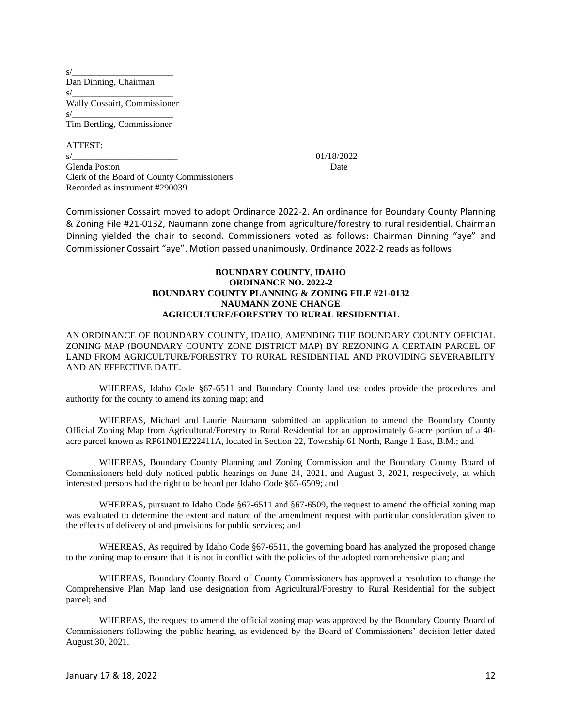s/\_\_\_\_\_\_\_\_\_\_\_\_\_\_\_\_\_\_\_\_\_\_ Dan Dinning, Chairman s/\_\_\_\_\_\_\_\_\_\_\_\_\_\_\_\_\_\_\_\_\_\_ Wally Cossairt, Commissioner s/\_\_\_\_\_\_\_\_\_\_\_\_\_\_\_\_\_\_\_\_\_\_ Tim Bertling, Commissioner

ATTEST: s/ 01/18/2022 Glenda Poston Date Clerk of the Board of County Commissioners Recorded as instrument #290039

Commissioner Cossairt moved to adopt Ordinance 2022-2. An ordinance for Boundary County Planning & Zoning File #21-0132, Naumann zone change from agriculture/forestry to rural residential. Chairman Dinning yielded the chair to second. Commissioners voted as follows: Chairman Dinning "aye" and Commissioner Cossairt "aye". Motion passed unanimously. Ordinance 2022-2 reads as follows:

## **BOUNDARY COUNTY, IDAHO ORDINANCE NO. 2022-2 BOUNDARY COUNTY PLANNING & ZONING FILE #21-0132 NAUMANN ZONE CHANGE AGRICULTURE/FORESTRY TO RURAL RESIDENTIAL**

AN ORDINANCE OF BOUNDARY COUNTY, IDAHO, AMENDING THE BOUNDARY COUNTY OFFICIAL ZONING MAP (BOUNDARY COUNTY ZONE DISTRICT MAP) BY REZONING A CERTAIN PARCEL OF LAND FROM AGRICULTURE/FORESTRY TO RURAL RESIDENTIAL AND PROVIDING SEVERABILITY AND AN EFFECTIVE DATE.

WHEREAS, Idaho Code §67-6511 and Boundary County land use codes provide the procedures and authority for the county to amend its zoning map; and

WHEREAS, Michael and Laurie Naumann submitted an application to amend the Boundary County Official Zoning Map from Agricultural/Forestry to Rural Residential for an approximately 6-acre portion of a 40 acre parcel known as RP61N01E222411A, located in Section 22, Township 61 North, Range 1 East, B.M.; and

WHEREAS, Boundary County Planning and Zoning Commission and the Boundary County Board of Commissioners held duly noticed public hearings on June 24, 2021, and August 3, 2021, respectively, at which interested persons had the right to be heard per Idaho Code §65-6509; and

WHEREAS, pursuant to Idaho Code §67-6511 and §67-6509, the request to amend the official zoning map was evaluated to determine the extent and nature of the amendment request with particular consideration given to the effects of delivery of and provisions for public services; and

WHEREAS, As required by Idaho Code §67-6511, the governing board has analyzed the proposed change to the zoning map to ensure that it is not in conflict with the policies of the adopted comprehensive plan; and

WHEREAS, Boundary County Board of County Commissioners has approved a resolution to change the Comprehensive Plan Map land use designation from Agricultural/Forestry to Rural Residential for the subject parcel; and

WHEREAS, the request to amend the official zoning map was approved by the Boundary County Board of Commissioners following the public hearing, as evidenced by the Board of Commissioners' decision letter dated August 30, 2021.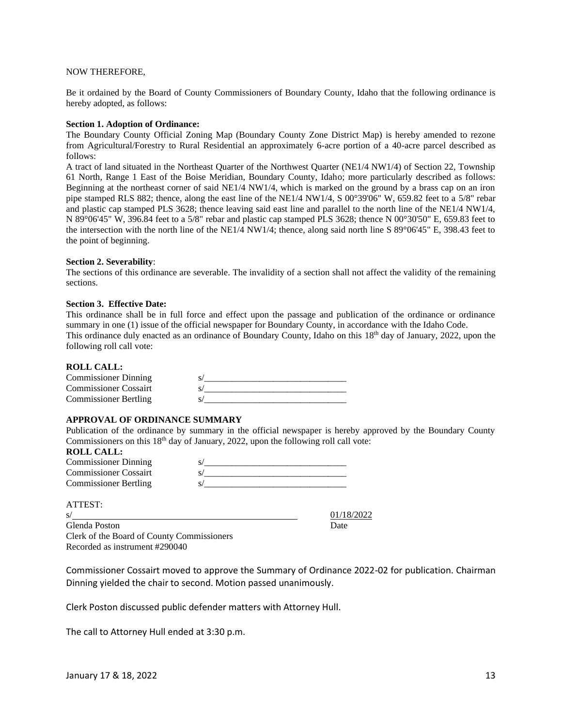### NOW THEREFORE,

Be it ordained by the Board of County Commissioners of Boundary County, Idaho that the following ordinance is hereby adopted, as follows:

### **Section 1. Adoption of Ordinance:**

The Boundary County Official Zoning Map (Boundary County Zone District Map) is hereby amended to rezone from Agricultural/Forestry to Rural Residential an approximately 6-acre portion of a 40-acre parcel described as follows:

A tract of land situated in the Northeast Quarter of the Northwest Quarter (NE1/4 NW1/4) of Section 22, Township 61 North, Range 1 East of the Boise Meridian, Boundary County, Idaho; more particularly described as follows: Beginning at the northeast corner of said NE1/4 NW1/4, which is marked on the ground by a brass cap on an iron pipe stamped RLS 882; thence, along the east line of the NE1/4 NW1/4, S 00°39'06" W, 659.82 feet to a 5/8" rebar and plastic cap stamped PLS 3628; thence leaving said east line and parallel to the north line of the NE1/4 NW1/4, N 89°06'45" W, 396.84 feet to a 5/8" rebar and plastic cap stamped PLS 3628; thence N 00°30'50" E, 659.83 feet to the intersection with the north line of the NE1/4 NW1/4; thence, along said north line S 89°06'45" E, 398.43 feet to the point of beginning.

### **Section 2. Severability**:

The sections of this ordinance are severable. The invalidity of a section shall not affect the validity of the remaining sections.

### **Section 3. Effective Date:**

This ordinance shall be in full force and effect upon the passage and publication of the ordinance or ordinance summary in one (1) issue of the official newspaper for Boundary County, in accordance with the Idaho Code. This ordinance duly enacted as an ordinance of Boundary County, Idaho on this 18<sup>th</sup> day of January, 2022, upon the following roll call vote:

#### **ROLL CALL:**

| <b>Commissioner Dinning</b>  |  |
|------------------------------|--|
| <b>Commissioner Cossairt</b> |  |
| <b>Commissioner Bertling</b> |  |

# **APPROVAL OF ORDINANCE SUMMARY**

Publication of the ordinance by summary in the official newspaper is hereby approved by the Boundary County Commissioners on this 18<sup>th</sup> day of January, 2022, upon the following roll call vote:

# **ROLL CALL:**

Commissioner Dinning Commissioner Cossairt s/\_\_\_\_\_\_\_\_\_\_\_\_\_\_\_\_\_\_\_\_\_\_\_\_\_\_\_\_\_\_\_ Commissioner Bertling s/

ATTEST:

s/ 01/18/2022

Glenda Poston Date Clerk of the Board of County Commissioners Recorded as instrument #290040

Commissioner Cossairt moved to approve the Summary of Ordinance 2022-02 for publication. Chairman Dinning yielded the chair to second. Motion passed unanimously.

Clerk Poston discussed public defender matters with Attorney Hull.

The call to Attorney Hull ended at 3:30 p.m.